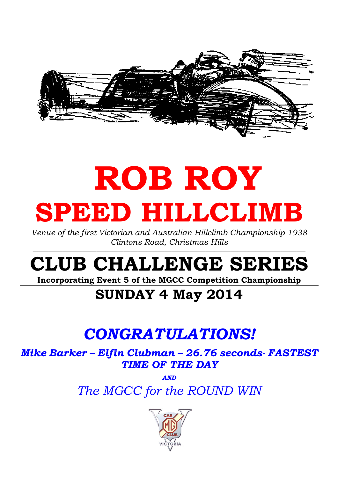

# ROB ROY SPEED HILLCLIMB

Venue of the first Victorian and Australian Hillclimb Championship 1938 Clintons Road, Christmas Hills

# CLUB CHALLENGE SERIES

Incorporating Event 5 of the MGCC Competition Championship

### SUNDAY 4 May 2014

## CONGRATULATIONS!

Mike Barker – Elfin Clubman – 26.76 seconds- FASTEST TIME OF THE DAY

> AND The MGCC for the ROUND WIN

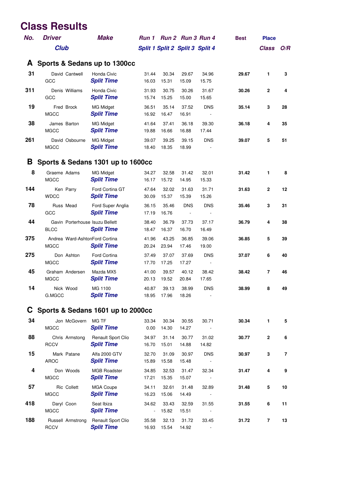#### **Class Results**

| No. | <b>Driver</b>                                  | <b>Make</b>                                    | Run 1           |                                 | Run 2 Run 3 Run 4 |                              | <b>Best</b> | <b>Place</b> |     |
|-----|------------------------------------------------|------------------------------------------------|-----------------|---------------------------------|-------------------|------------------------------|-------------|--------------|-----|
|     | <b>Club</b>                                    |                                                |                 | Split 1 Split 2 Split 3 Split 4 |                   |                              |             | <b>Class</b> | O/R |
| A   | Sports & Sedans up to 1300cc                   |                                                |                 |                                 |                   |                              |             |              |     |
| 31  | David Cantwell<br>GCC                          | Honda Civic<br><b>Split Time</b>               | 31.44<br>16.03  | 30.34<br>15.31                  | 29.67<br>15.09    | 34.96<br>15.75               | 29.67       | 1            | 3   |
| 311 | Denis Williams<br>GCC                          | Honda Civic<br><b>Split Time</b>               | 31.93<br>15.74  | 30.75<br>15.25                  | 30.26<br>15.00    | 31.67<br>15.65               | 30.26       | $\mathbf{2}$ | 4   |
| 19  | Fred Brock<br><b>MGCC</b>                      | <b>MG Midget</b><br><b>Split Time</b>          | 36.51<br>16.92  | 35.14<br>16.47                  | 37.52<br>16.91    | <b>DNS</b>                   | 35.14       | 3            | 28  |
| 38  | James Barton<br><b>MGCC</b>                    | MG Midget<br><b>Split Time</b>                 | 41.64<br>19.88  | 37.41<br>16.66                  | 36.18<br>16.88    | 39.30<br>17.44               | 36.18       | 4            | 35  |
| 261 | David Osbourne<br><b>MGCC</b>                  | <b>MG Midget</b><br><b>Split Time</b>          | 39.07<br>18.40  | 39.25<br>18.35                  | 39.15<br>18.99    | <b>DNS</b>                   | 39.07       | 5            | 51  |
| B   | Sports & Sedans 1301 up to 1600cc              |                                                |                 |                                 |                   |                              |             |              |     |
| 8   | Graeme Adams<br><b>MGCC</b>                    | <b>MG Midget</b><br><b>Split Time</b>          | 34.27<br>16.17  | 32.58<br>15.72                  | 31.42<br>14.95    | 32.01<br>15.33               | 31.42       | 1            | 8   |
| 144 | Ken Parry<br><b>WDCC</b>                       | Ford Cortina GT<br><b>Split Time</b>           | 47.64<br>30.09  | 32.02<br>15.37                  | 31.63<br>15.39    | 31.71<br>15.26               | 31.63       | $\mathbf{2}$ | 12  |
| 78  | Russ Mead<br>GCC                               | Ford Super Anglia<br><b>Split Time</b>         | 36.15<br>17.19  | 35.46<br>16.76                  | <b>DNS</b>        | <b>DNS</b>                   | 35.46       | 3            | 31  |
| 44  | Gavin Porterhouse Isuzu Bellett<br><b>BLCC</b> | <b>Split Time</b>                              | 38.40<br>18.47  | 36.79<br>16.37                  | 37.73<br>16.70    | 37.17<br>16.49               | 36.79       | 4            | 38  |
| 375 | Andrea Ward-AshtonFord Cortina<br><b>MGCC</b>  | <b>Split Time</b>                              | 41.96<br>20.24  | 43.25<br>23.94                  | 36.85<br>17.46    | 39.06<br>19.00               | 36.85       | 5            | 39  |
| 275 | Don Ashton<br><b>MGCC</b>                      | <b>Ford Cortina</b><br><b>Split Time</b>       | 37.49<br>17.70  | 37.07<br>17.25                  | 37.69<br>17.27    | <b>DNS</b><br>$\blacksquare$ | 37.07       | 6            | 40  |
| 45  | Graham Andersen<br><b>MGCC</b>                 | Mazda MX5<br><b>Split Time</b>                 | 41.00<br>20.13  | 39.57<br>19.52                  | 40.12<br>20.84    | 38.42<br>17.65               | 38.42       | 7            | 46  |
| 14  | Nick Wood<br>G.MGCC                            | MG 1100<br><b>Split Time</b>                   | 40.87<br>18.95  | 39.13<br>17.96                  | 38.99<br>18.26    | <b>DNS</b>                   | 38.99       | 8            | 49  |
|     | Sports & Sedans 1601 up to 2000cc              |                                                |                 |                                 |                   |                              |             |              |     |
| 34  | Jon McGovern<br><b>MGCC</b>                    | MG TF<br><b>Split Time</b>                     | 33.34<br>0.00   | 30.34<br>14.30                  | 30.55<br>14.27    | 30.71<br>$\sim$ $-$          | 30.34       | 1            | 5   |
| 88  | Chris Armstong<br><b>RCCV</b>                  | <b>Renault Sport Clio</b><br><b>Split Time</b> | 34.97<br>16.70  | 31.14<br>15.01                  | 30.77<br>14.88    | 31.02<br>14.82               | 30.77       | $\mathbf{2}$ | 6   |
| 15  | Mark Patane<br><b>AROC</b>                     | Alfa 2000 GTV<br><b>Split Time</b>             | 32.70<br>15.89  | 31.09<br>15.58                  | 30.97<br>15.48    | <b>DNS</b>                   | 30.97       | 3            | 7   |
| 4   | Don Woods<br><b>MGCC</b>                       | <b>MGB Roadster</b><br><b>Split Time</b>       | 34.85<br>17.21  | 32.53<br>15.35                  | 31.47<br>15.07    | 32.34                        | 31.47       | 4            | 9   |
| 57  | Ric Collett<br><b>MGCC</b>                     | MGA Coupe<br><b>Split Time</b>                 | 34.11<br>16.23  | 32.61<br>15.06                  | 31.48<br>14.49    | 32.89                        | 31.48       | 5            | 10  |
| 418 | Daryl Coon<br><b>MGCC</b>                      | Seat Ibiza<br><b>Split Time</b>                | 34.62<br>$\sim$ | 33.43<br>15.82                  | 32.59<br>15.51    | 31.55                        | 31.55       | 6            | 11  |
| 188 | Russell Armstrong<br><b>RCCV</b>               | Renault Sport Clio<br><b>Split Time</b>        | 35.58<br>16.93  | 32.13<br>15.54                  | 31.72<br>14.92    | 33.45                        | 31.72       | $\bf 7$      | 13  |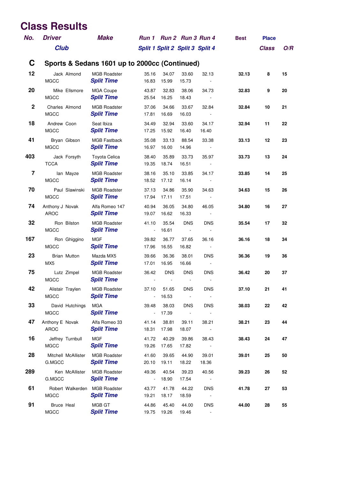#### **Class Results**

| No.                     | <b>Driver</b>                                | <b>Make</b>                                   |                                   | Run 1 Run 2 Run 3 Run 4      |                          |                                   | <b>Best</b> | <b>Place</b> |     |
|-------------------------|----------------------------------------------|-----------------------------------------------|-----------------------------------|------------------------------|--------------------------|-----------------------------------|-------------|--------------|-----|
|                         | <b>Club</b>                                  |                                               | Split 1 Split 2 Split 3 Split 4   |                              |                          |                                   |             | <b>Class</b> | O/R |
| C                       |                                              | Sports & Sedans 1601 up to 2000cc (Continued) |                                   |                              |                          |                                   |             |              |     |
| 12                      | Jack Almond<br><b>MGCC</b>                   | <b>MGB Roadster</b><br><b>Split Time</b>      | 35.16<br>16.83                    | 34.07<br>15.99               | 33.60<br>15.73           | 32.13<br>$\blacksquare$           | 32.13       | 8            | 15  |
| 20                      | Mike Ellsmore<br><b>MGCC</b>                 | <b>MGA Coupe</b><br><b>Split Time</b>         | 43.87<br>25.54                    | 32.83<br>16.25               | 38.06<br>18.43           | 34.73                             | 32.83       | 9            | 20  |
| $\mathbf{2}$            | Charles Almond<br><b>MGCC</b>                | <b>MGB Roadster</b><br><b>Split Time</b>      | 37.06<br>17.81                    | 34.66<br>16.69               | 33.67<br>16.03           | 32.84<br>$\sim$ $-$               | 32.84       | 10           | 21  |
| 18                      | Andrew Coon<br><b>MGCC</b>                   | Seat Ibiza<br><b>Split Time</b>               | 34.49<br>17.25                    | 32.94<br>15.92               | 33.60<br>16.40           | 34.17<br>16.40                    | 32.94       | 11           | 22  |
| 41                      | Bryan Gibson<br><b>MGCC</b>                  | <b>MGB Fastback</b><br><b>Split Time</b>      | 35.08<br>16.97                    | 33.13<br>16.00               | 88.54<br>14.96           | 33.38<br>$\sim 100$               | 33.13       | 12           | 23  |
| 403                     | Jack Forsyth<br><b>TCCA</b>                  | Toyota Celica<br><b>Split Time</b>            | 38.40<br>19.35                    | 35.89<br>18.74               | 33.73<br>16.51           | 35.97<br>$\overline{\phantom{a}}$ | 33.73       | 13           | 24  |
| $\overline{\mathbf{r}}$ | lan Mayze<br><b>MGCC</b>                     | <b>MGB Roadster</b><br><b>Split Time</b>      | 38.16<br>18.52                    | 35.10<br>17.12               | 33.85<br>16.14           | 34.17<br>$\sim 100$               | 33.85       | 14           | 25  |
| 70                      | Paul Slawinski<br><b>MGCC</b>                | <b>MGB Roadster</b><br><b>Split Time</b>      | 37.13<br>17.94                    | 34.86<br>17.11               | 35.90<br>17.51           | 34.63<br>$\sim$ $-$               | 34.63       | 15           | 26  |
| 74                      | Anthony J Novak<br><b>AROC</b>               | Alfa Romeo 147<br><b>Split Time</b>           | 40.94<br>19.07                    | 36.05<br>16.62               | 34.80<br>16.33           | 46.05<br>$\overline{\phantom{a}}$ | 34.80       | 16           | 27  |
| 32                      | Ron Bilston<br><b>MGCC</b>                   | <b>MGB Roadster</b><br><b>Split Time</b>      | 41.10<br>$\blacksquare$           | 35.54<br>16.61               | <b>DNS</b>               | <b>DNS</b>                        | 35.54       | 17           | 32  |
| 167                     | Ron Ghiggino<br><b>MGCC</b>                  | <b>MGF</b><br><b>Split Time</b>               | 39.82<br>17.96                    | 36.77<br>16.55               | 37.65<br>16.82           | 36.16<br>$\overline{\phantom{a}}$ | 36.16       | 18           | 34  |
| 23                      | <b>Brian Mutton</b><br>MX <sub>5</sub>       | Mazda MX5<br><b>Split Time</b>                | 39.66<br>17.01                    | 36.36<br>16.95               | 38.01<br>16.66           | <b>DNS</b><br>$\sim$ $-$          | 36.36       | 19           | 36  |
| 75                      | Lutz Zimpel<br><b>MGCC</b>                   | <b>MGB Roadster</b><br><b>Split Time</b>      | 36.42<br>$\mathcal{L}$            | <b>DNS</b><br>$\blacksquare$ | <b>DNS</b>               | <b>DNS</b><br>$\blacksquare$      | 36.42       | 20           | 37  |
| 42                      | Alistair Traylen<br><b>MGCC</b>              | <b>MGB Roadster</b><br><b>Split Time</b>      | 37.10<br>$\overline{\phantom{a}}$ | 51.65<br>16.53               | <b>DNS</b>               | <b>DNS</b>                        | 37.10       | 21           | 41  |
| 33                      | David Hutchings<br><b>MGCC</b>               | <b>MGA</b><br><b>Split Time</b>               | 39.48<br>$\blacksquare$           | 38.03<br>17.39               | <b>DNS</b><br>$\sim 100$ | <b>DNS</b><br>$\sim$              | 38.03       | 22           | 42  |
| 47                      | Anthony E Novak<br><b>AROC</b>               | Alfa Romeo 33<br><b>Split Time</b>            | 41.14<br>18.31                    | 38.81<br>17.98               | 39.11<br>18.07           | 38.21                             | 38.21       | 23           | 44  |
| 16                      | Jeffrey Turnbull<br><b>MGCC</b>              | <b>MGF</b><br><b>Split Time</b>               | 41.72<br>19.26                    | 40.29<br>17.65               | 39.86<br>17.82           | 38.43                             | 38.43       | 24           | 47  |
| 28                      | Mitchell McAllister<br>G.MGCC                | <b>MGB Roadster</b><br><b>Split Time</b>      | 41.60<br>20.10                    | 39.65<br>19.11               | 44.90<br>18.22           | 39.01<br>18.36                    | 39.01       | 25           | 50  |
| 289                     | Ken McAllister<br>G.MGCC                     | <b>MGB Roadster</b><br><b>Split Time</b>      | 49.36<br>$\blacksquare$           | 40.54<br>18.90               | 39.23<br>17.54           | 40.56<br>$\blacksquare$           | 39.23       | 26           | 52  |
| 61                      | Robert Walkerden MGB Roadster<br><b>MGCC</b> | <b>Split Time</b>                             | 43.77<br>19.21                    | 41.78<br>18.17               | 44.22<br>18.59           | <b>DNS</b><br>$\sim$ $-$          | 41.78       | 27           | 53  |
| 91                      | <b>Bruce Heal</b><br><b>MGCC</b>             | MGB GT<br><b>Split Time</b>                   | 44.86<br>19.75                    | 45.40<br>19.26               | 44.00<br>19.46           | <b>DNS</b><br>$\blacksquare$      | 44.00       | 28           | 55  |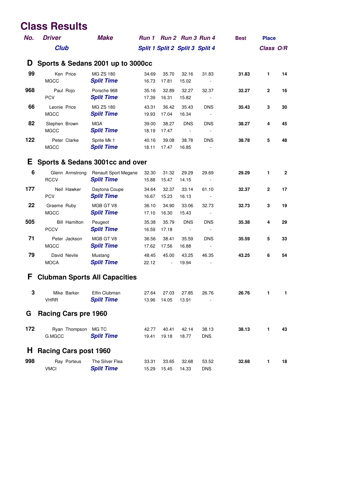#### **Class Results**

| No. | <b>Driver</b>                        | <b>Make</b>                               |                |                                   |                                        | Run 1 Run 2 Run 3 Run 4                | <b>Best</b> | <b>Place</b> |              |
|-----|--------------------------------------|-------------------------------------------|----------------|-----------------------------------|----------------------------------------|----------------------------------------|-------------|--------------|--------------|
|     | <b>Club</b>                          |                                           |                | Split 1 Split 2 Split 3 Split 4   |                                        |                                        |             | Class O/R    |              |
| D   | Sports & Sedans 2001 up to 3000cc    |                                           |                |                                   |                                        |                                        |             |              |              |
| 99  | Ken Price<br><b>MGCC</b>             | <b>MG ZS 180</b><br><b>Split Time</b>     | 34.69<br>16.73 | 35.70<br>17.81                    | 32.16<br>15.02                         | 31.83<br>$\overline{\phantom{a}}$      | 31.83       | 1            | 14           |
| 968 | Paul Rojo<br><b>PCV</b>              | Porsche 968<br><b>Split Time</b>          | 35.16<br>17.39 | 32.89<br>16.31                    | 32.27<br>15.82                         | 32.37                                  | 32.27       | $\mathbf{2}$ | 16           |
| 66  | Leonie Price<br><b>MGCC</b>          | <b>MG ZS 180</b><br><b>Split Time</b>     | 43.31<br>19.93 | 36.42<br>17.04                    | 35.43<br>16.34                         | <b>DNS</b>                             | 35.43       | 3            | 30           |
| 82  | Stephen Brown<br><b>MGCC</b>         | <b>MGA</b><br><b>Split Time</b>           | 39.00<br>18.19 | 38.27<br>17.47                    | <b>DNS</b><br>$\overline{\phantom{a}}$ | <b>DNS</b>                             | 38.27       | 4            | 45           |
| 122 | Peter Clarke<br><b>MGCC</b>          | Sprite Mk 1<br><b>Split Time</b>          | 40.16<br>18.11 | 39.08<br>17.47                    | 38.78<br>16.85                         | <b>DNS</b>                             | 38.78       | 5            | 48           |
| Е   | Sports & Sedans 3001cc and over      |                                           |                |                                   |                                        |                                        |             |              |              |
| 6   | Glenn Armstrong<br><b>RCCV</b>       | Renault Sport Megane<br><b>Split Time</b> | 32.30<br>15.88 | 31.32<br>15.47                    | 29.29<br>14.15                         | 29.69<br>$\sim$                        | 29.29       | 1            | $\mathbf{2}$ |
| 177 | Neil Hawker<br><b>PCV</b>            | Daytona Coupe<br><b>Split Time</b>        | 34.64<br>16.67 | 32.37<br>15.23                    | 33.14<br>16.13                         | 61.10                                  | 32.37       | $\mathbf{2}$ | 17           |
| 22  | Graeme Ruby<br><b>MGCC</b>           | MGB GT V8<br><b>Split Time</b>            | 36.10<br>17.10 | 34.90<br>16.30                    | 33.06<br>15.43                         | 32.73                                  | 32.73       | 3            | 19           |
| 505 | <b>Bill Hamilton</b><br><b>PCCV</b>  | Peugeot<br><b>Split Time</b>              | 35.38<br>16.59 | 35.79<br>17.18                    | <b>DNS</b><br>$\sim$ $-$               | <b>DNS</b><br>$\overline{\phantom{a}}$ | 35.38       | 4            | 29           |
| 71  | Peter Jackson<br><b>MGCC</b>         | MGB GT V8<br><b>Split Time</b>            | 36.56<br>17.62 | 38.41<br>17.56                    | 35.59<br>16.88                         | <b>DNS</b><br>$\overline{\phantom{a}}$ | 35.59       | 5            | 33           |
| 79  | David Nevile<br><b>MOCA</b>          | Mustang<br><b>Split Time</b>              | 48.45<br>22.12 | 45.00<br>$\overline{\phantom{a}}$ | 43.25<br>19.94                         | 46.35                                  | 43.25       | 6            | 54           |
| F   | <b>Clubman Sports All Capacities</b> |                                           |                |                                   |                                        |                                        |             |              |              |
| 3   | Mike Barker<br><b>VHRR</b>           | Elfin Clubman<br><b>Split Time</b>        | 27.64<br>13.96 | 27.03<br>14.05                    | 27.85<br>13.91                         | 26.76                                  | 26.76       | 1            | 1            |
| G   | <b>Racing Cars pre 1960</b>          |                                           |                |                                   |                                        |                                        |             |              |              |
| 172 | Ryan Thompson<br>G.MGCC              | MG TC<br><b>Split Time</b>                | 42.77<br>19.41 | 40.41<br>19.18                    | 42.14<br>18.77                         | 38.13<br><b>DNS</b>                    | 38.13       | 1            | 43           |
| H   | <b>Racing Cars post 1960</b>         |                                           |                |                                   |                                        |                                        |             |              |              |
| 998 | Ray Porteus<br><b>VMCI</b>           | The Silver Flea<br><b>Split Time</b>      | 33.31<br>15.29 | 33.65<br>15.45                    | 32.68<br>14.33                         | 53.52<br><b>DNS</b>                    | 32.68       | 1            | 18           |